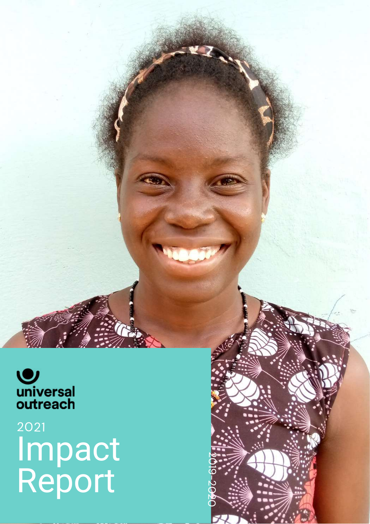

# Impact Report 2 0 2 1

**20**  $\overline{\bullet}$ 

-2020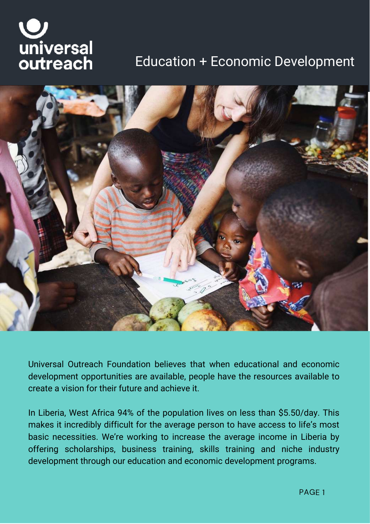# universal outreach

## Education + Economic Development



Universal Outreach Foundation believes that when educational and economic development opportunities are available, people have the resources available to create a vision for their future and achieve it.

In Liberia, West Africa 94% of the population lives on less than \$5.50/day. This makes it incredibly difficult for the average person to have access to life's most basic necessities. We're working to increase the average income in Liberia by offering scholarships, business training, skills training and niche industry development through our education and economic development programs.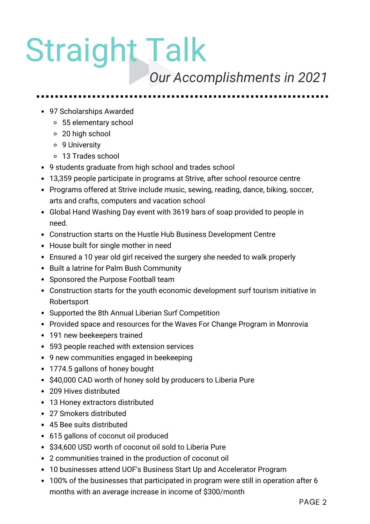# Straight Talk

## *Our Accomplishments in 2021*

- 97 Scholarships Awarded
	- 55 elementary school
	- 20 high school
	- 9 University
	- 13 Trades school
- 9 students graduate from high school and trades school
- 13,359 people participate in programs at Strive, after school resource centre
- Programs offered at Strive include music, sewing, reading, dance, biking, soccer, arts and crafts, computers and vacation school
- Global Hand Washing Day event with 3619 bars of soap provided to people in need.
- Construction starts on the Hustle Hub Business Development Centre
- House built for single mother in need
- Ensured a 10 year old girl received the surgery she needed to walk properly
- Built a latrine for Palm Bush Community
- Sponsored the Purpose Football team
- Construction starts for the youth economic development surf tourism initiative in Robertsport
- Supported the 8th Annual Liberian Surf Competition
- Provided space and resources for the Waves For Change Program in Monrovia
- 191 new beekeepers trained
- 593 people reached with extension services
- 9 new communities engaged in beekeeping
- 1774.5 gallons of honey bought
- \$40,000 CAD worth of honey sold by producers to Liberia Pure
- 209 Hives distributed
- 13 Honey extractors distributed
- 27 Smokers distributed
- 45 Bee suits distributed
- 615 gallons of coconut oil produced
- \$34,600 USD worth of coconut oil sold to Liberia Pure
- 2 communities trained in the production of coconut oil
- 10 businesses attend UOF's Business Start Up and Accelerator Program
- 100% of the businesses that participated in program were still in operation after 6 months with an average increase in income of \$300/month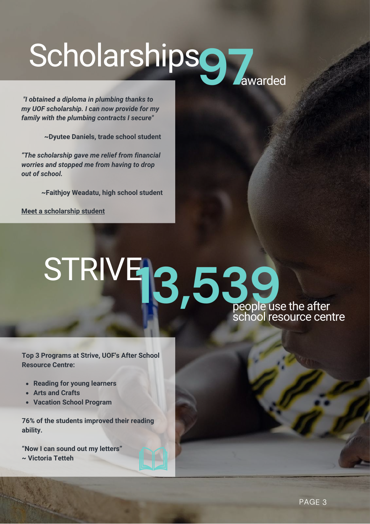# Scholarshipso<sub>7</sub> awarded

*"I obtained a diploma in plumbing thanks to my UOF scholarship. I can now provide for my family with the plumbing contracts I secure"*

**~Dyutee Daniels, trade school student**

*"The scholarship gave me relief from financial worries and stopped me from having to drop out of school.*

**~Faithjoy Weadatu, high school student**

**Meet a [scholarship](https://www.youtube.com/watch?v=PxUnIig_TzU) student**

## STRIVE **13,539**<br>People use the after school resource centre

**Top 3 Programs at Strive, UOF's After School Resource Centre:**

- **Reading for young learners**
- **Arts and Crafts**
- **Vacation School Program**

**76% of the students improved their reading ability.**

**"Now I can sound out my letters" ~ Victoria Tetteh**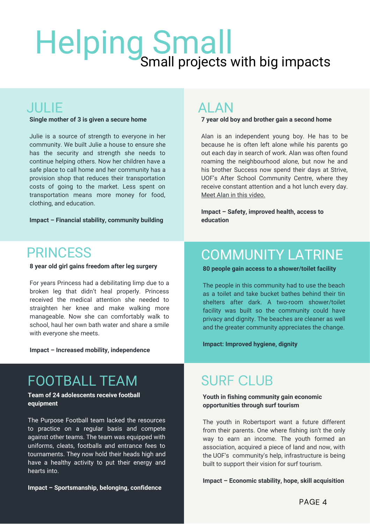## Helping Small Small projects with big impacts

#### JULIE

**Single mother of 3 is given a secure home**

Julie is a source of strength to everyone in her community. We built Julie a house to ensure she has the security and strength she needs to continue helping others. Now her children have a safe place to call home and her community has a provision shop that reduces their transportation costs of going to the market. Less spent on transportation means more money for food, clothing, and education.

**Impact – Financial stability, community building**

#### ALAN

#### **7 year old boy and brother gain a second home**

Alan is an independent young boy. He has to be because he is often left alone while his parents go out each day in search of work. Alan was often found roaming the neighbourhood alone, but now he and his brother Success now spend their days at Strive, UOF's After School Community Centre, where they receive constant attention and a hot lunch every day. Meet Alan in this [video.](https://www.youtube.com/watch?v=Rf4LXD7MFvM)

**Impact – Safety, improved health, access to education**

#### **PRINCESS**

**8 year old girl gains freedom after leg surgery**

For years Princess had a debilitating limp due to a broken leg that didn't heal properly. Princess received the medical attention she needed to straighten her knee and make walking more manageable. Now she can comfortably walk to school, haul her own bath water and share a smile with everyone she meets.

**Impact – Increased mobility, independence**

### FOOTBALL TEAM

#### **Team of 24 adolescents receive football equipment**

The Purpose Football team lacked the resources to practice on a regular basis and compete against other teams. The team was equipped with uniforms, cleats, footballs and entrance fees to tournaments. They now hold their heads high and have a healthy activity to put their energy and hearts into.

**Impact – Sportsmanship, belonging, confidence**

#### COMMUNITY LATRINE

**80 people gain access to a shower/toilet facility**

The people in this community had to use the beach as a toilet and take bucket bathes behind their tin shelters after dark. A two-room shower/toilet facility was built so the community could have privacy and dignity. The beaches are cleaner as well and the greater community appreciates the change.

**Impact: Improved hygiene, dignity**

### SURF CLUB

#### **Youth in fishing community gain economic opportunities through surf tourism**

The youth in Robertsport want a future different from their parents. One where fishing isn't the only way to earn an income. The youth formed an association, acquired a piece of land and now, with the UOF's community's help, infrastructure is being built to support their vision for surf tourism.

#### **Impact – Economic stability, hope, skill acquisition**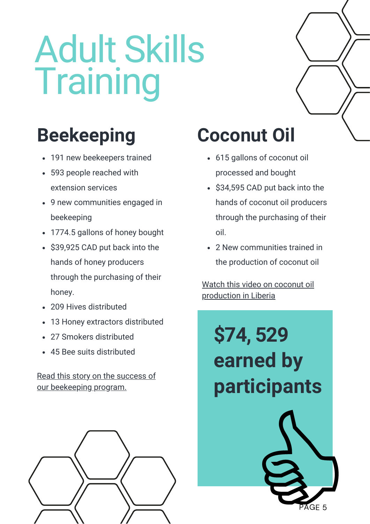# Adult Skills **Training**

- 191 new beekeepers trained
- 593 people reached with extension services
- 9 new communities engaged in beekeeping
- 1774.5 gallons of honey bought
- \$39,925 CAD put back into the hands of honey producers through the purchasing of their honey.
- 209 Hives distributed
- 13 Honey extractors distributed
- 27 Smokers distributed
- 45 Bee suits distributed

Read this story on the success of our [beekeeping](https://reasonstobecheerful.world/beekeeping-liberia-honey-economy/) program.



## **Beekeeping Coconut Oil**

- 615 gallons of coconut oil processed and bought
- \$34,595 CAD put back into the hands of coconut oil producers through the purchasing of their oil.
- 2 New communities trained in the production of coconut oil

Watch this video on coconut oil [production](https://www.youtube.com/watch?v=rjTcx1sNFp4) in Liberia

**\$74, 529 earned by participants**

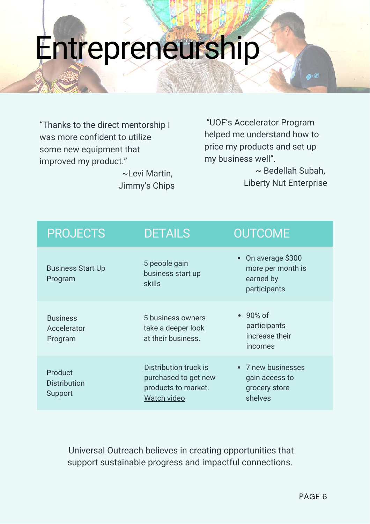# Entrepreneurship

"Thanks to the direct mentorship I was more confident to utilize some new equipment that improved my product."

> ~Levi Martin, Jimmy's Chips

"UOF's Accelerator Program helped me understand how to price my products and set up my business well".

> ~ Bedellah Subah, Liberty Nut Enterprise

| <b>PROJECTS</b>                           | <b>DETAILS</b>                                                                      | <b>OUTCOME</b>                                                       |
|-------------------------------------------|-------------------------------------------------------------------------------------|----------------------------------------------------------------------|
| <b>Business Start Up</b><br>Program       | 5 people gain<br>business start up<br>skills                                        | • On average \$300<br>more per month is<br>earned by<br>participants |
| <b>Business</b><br>Accelerator<br>Program | 5 business owners<br>take a deeper look<br>at their business.                       | $\cdot$ 90% of<br>participants<br>increase their<br>incomes          |
| Product<br><b>Distribution</b><br>Support | Distribution truck is<br>purchased to get new<br>products to market.<br>Watch video | • 7 new businesses<br>gain access to<br>grocery store<br>shelves     |

Universal Outreach believes in creating opportunities that support sustainable progress and impactful connections.